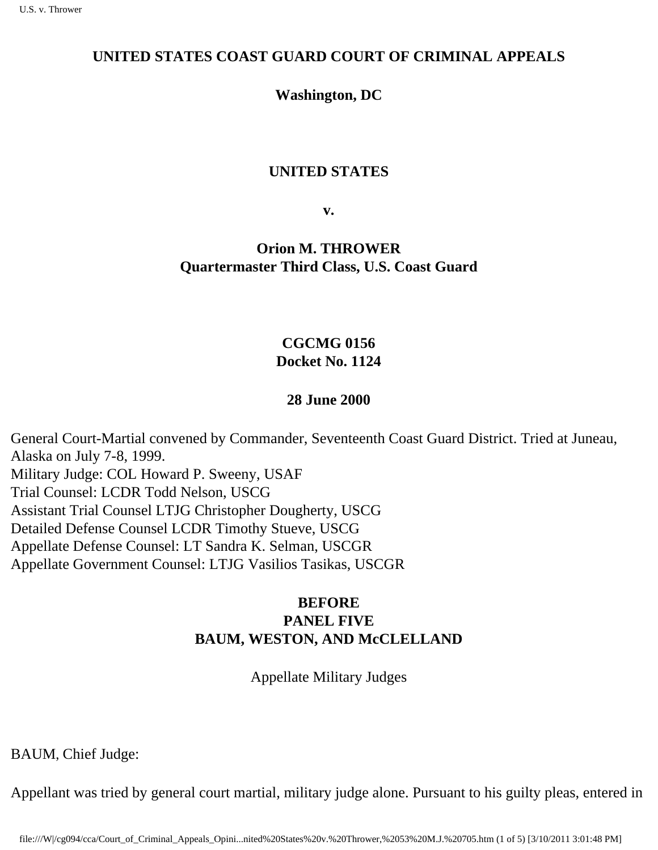### **UNITED STATES COAST GUARD COURT OF CRIMINAL APPEALS**

**Washington, DC**

#### **UNITED STATES**

**v.**

**Orion M. THROWER Quartermaster Third Class, U.S. Coast Guard**

### **CGCMG 0156 Docket No. 1124**

### **28 June 2000**

General Court-Martial convened by Commander, Seventeenth Coast Guard District. Tried at Juneau, Alaska on July 7-8, 1999. Military Judge: COL Howard P. Sweeny, USAF Trial Counsel: LCDR Todd Nelson, USCG Assistant Trial Counsel LTJG Christopher Dougherty, USCG Detailed Defense Counsel LCDR Timothy Stueve, USCG Appellate Defense Counsel: LT Sandra K. Selman, USCGR Appellate Government Counsel: LTJG Vasilios Tasikas, USCGR

## **BEFORE PANEL FIVE BAUM, WESTON, AND McCLELLAND**

Appellate Military Judges

BAUM, Chief Judge:

Appellant was tried by general court martial, military judge alone. Pursuant to his guilty pleas, entered in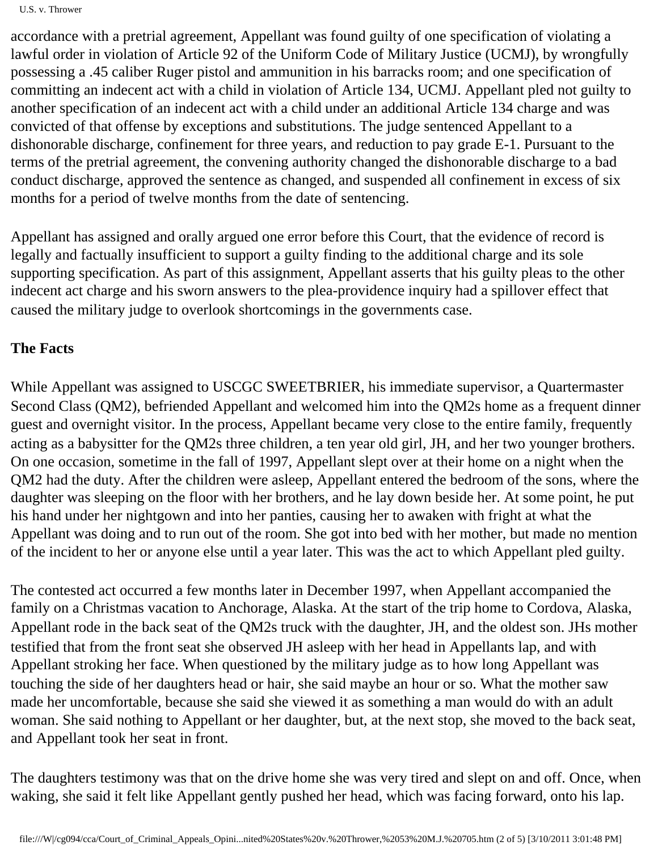accordance with a pretrial agreement, Appellant was found guilty of one specification of violating a lawful order in violation of Article 92 of the Uniform Code of Military Justice (UCMJ), by wrongfully possessing a .45 caliber Ruger pistol and ammunition in his barracks room; and one specification of committing an indecent act with a child in violation of Article 134, UCMJ. Appellant pled not guilty to another specification of an indecent act with a child under an additional Article 134 charge and was convicted of that offense by exceptions and substitutions. The judge sentenced Appellant to a dishonorable discharge, confinement for three years, and reduction to pay grade E-1. Pursuant to the terms of the pretrial agreement, the convening authority changed the dishonorable discharge to a bad conduct discharge, approved the sentence as changed, and suspended all confinement in excess of six months for a period of twelve months from the date of sentencing.

Appellant has assigned and orally argued one error before this Court, that the evidence of record is legally and factually insufficient to support a guilty finding to the additional charge and its sole supporting specification. As part of this assignment, Appellant asserts that his guilty pleas to the other indecent act charge and his sworn answers to the plea-providence inquiry had a spillover effect that caused the military judge to overlook shortcomings in the government s case.

## **The Facts**

While Appellant was assigned to USCGC SWEETBRIER, his immediate supervisor, a Quartermaster Second Class (QM2), befriended Appellant and welcomed him into the QM2 s home as a frequent dinner guest and overnight visitor. In the process, Appellant became very close to the entire family, frequently acting as a babysitter for the QM2 s three children, a ten year old girl, JH, and her two younger brothers. On one occasion, sometime in the fall of 1997, Appellant slept over at their home on a night when the QM2 had the duty. After the children were asleep, Appellant entered the bedroom of the sons, where the daughter was sleeping on the floor with her brothers, and he lay down beside her. At some point, he put his hand under her nightgown and into her panties, causing her to awaken with fright at what the Appellant was doing and to run out of the room. She got into bed with her mother, but made no mention of the incident to her or anyone else until a year later. This was the act to which Appellant pled guilty.

The contested act occurred a few months later in December 1997, when Appellant accompanied the family on a Christmas vacation to Anchorage, Alaska. At the start of the trip home to Cordova, Alaska, Appellant rode in the back seat of the QM2 s truck with the daughter, JH, and the oldest son. JH s mother testified that from the front seat she observed JH asleep with her head in Appellant s lap, and with Appellant stroking her face. When questioned by the military judge as to how long Appellant was touching the side of her daughter s head or hair, she said maybe an hour or so. What the mother saw made her uncomfortable, because she said she viewed it as something a man would do with an adult woman. She said nothing to Appellant or her daughter, but, at the next stop, she moved to the back seat, and Appellant took her seat in front.

The daughter s testimony was that on the drive home she was very tired and slept on and off. Once, when waking, she said it felt like Appellant gently pushed her head, which was facing forward, onto his lap.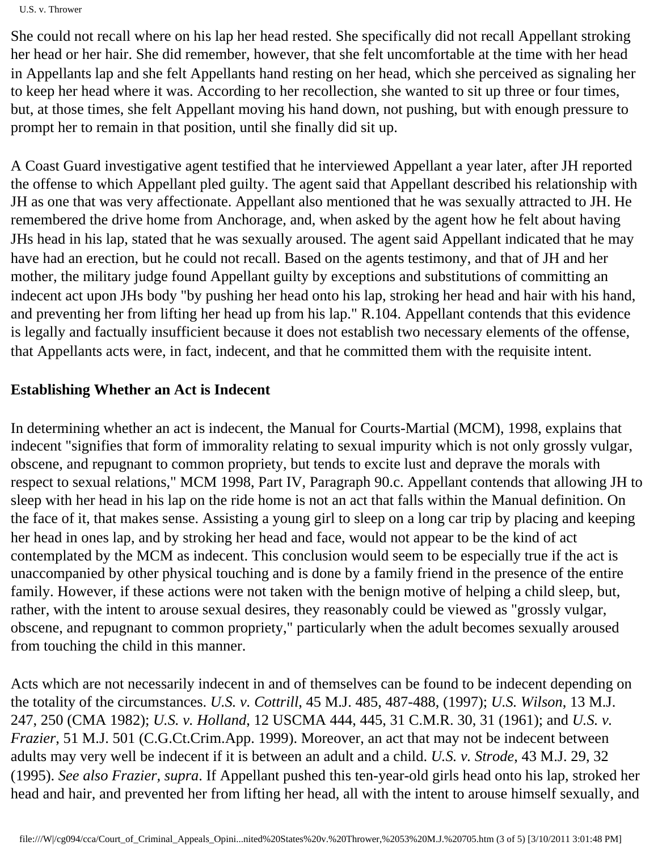U.S. v. Thrower

She could not recall where on his lap her head rested. She specifically did not recall Appellant stroking her head or her hair. She did remember, however, that she felt uncomfortable at the time with her head in Appellant s lap and she felt Appellant s hand resting on her head, which she perceived as signaling her to keep her head where it was. According to her recollection, she wanted to sit up three or four times, but, at those times, she felt Appellant moving his hand down, not pushing, but with enough pressure to prompt her to remain in that position, until she finally did sit up.

A Coast Guard investigative agent testified that he interviewed Appellant a year later, after JH reported the offense to which Appellant pled guilty. The agent said that Appellant described his relationship with JH as one that was very affectionate. Appellant also mentioned that he was sexually attracted to JH. He remembered the drive home from Anchorage, and, when asked by the agent how he felt about having JH s head in his lap, stated that he was sexually aroused. The agent said Appellant indicated that he may have had an erection, but he could not recall. Based on the agent s testimony, and that of JH and her mother, the military judge found Appellant guilty by exceptions and substitutions of committing an indecent act upon JH s body "by pushing her head onto his lap, stroking her head and hair with his hand, and preventing her from lifting her head up from his lap." R.104. Appellant contends that this evidence is legally and factually insufficient because it does not establish two necessary elements of the offense, that Appellant s acts were, in fact, indecent, and that he committed them with the requisite intent.

# **Establishing Whether an Act is Indecent**

In determining whether an act is indecent, the Manual for Courts-Martial (MCM), 1998, explains that indecent "signifies that form of immorality relating to sexual impurity which is not only grossly vulgar, obscene, and repugnant to common propriety, but tends to excite lust and deprave the morals with respect to sexual relations," MCM 1998, Part IV, Paragraph 90.c. Appellant contends that allowing JH to sleep with her head in his lap on the ride home is not an act that falls within the Manual definition. On the face of it, that makes sense. Assisting a young girl to sleep on a long car trip by placing and keeping her head in one s lap, and by stroking her head and face, would not appear to be the kind of act contemplated by the MCM as indecent. This conclusion would seem to be especially true if the act is unaccompanied by other physical touching and is done by a family friend in the presence of the entire family. However, if these actions were not taken with the benign motive of helping a child sleep, but, rather, with the intent to arouse sexual desires, they reasonably could be viewed as "grossly vulgar, obscene, and repugnant to common propriety," particularly when the adult becomes sexually aroused from touching the child in this manner.

Acts which are not necessarily indecent in and of themselves can be found to be indecent depending on the totality of the circumstances. *U.S. v. Cottrill*, 45 M.J. 485, 487-488, (1997); *U.S. Wilson*, 13 M.J. 247, 250 (CMA 1982); *U.S. v. Holland*, 12 USCMA 444, 445, 31 C.M.R. 30, 31 (1961); and *U.S. v. Frazier*, 51 M.J. 501 (C.G.Ct.Crim.App. 1999). Moreover, an act that may not be indecent between adults may very well be indecent if it is between an adult and a child. *U.S. v. Strode*, 43 M.J. 29, 32 (1995). *See also Frazier, supra*. If Appellant pushed this ten-year-old girl s head onto his lap, stroked her head and hair, and prevented her from lifting her head, all with the intent to arouse himself sexually, and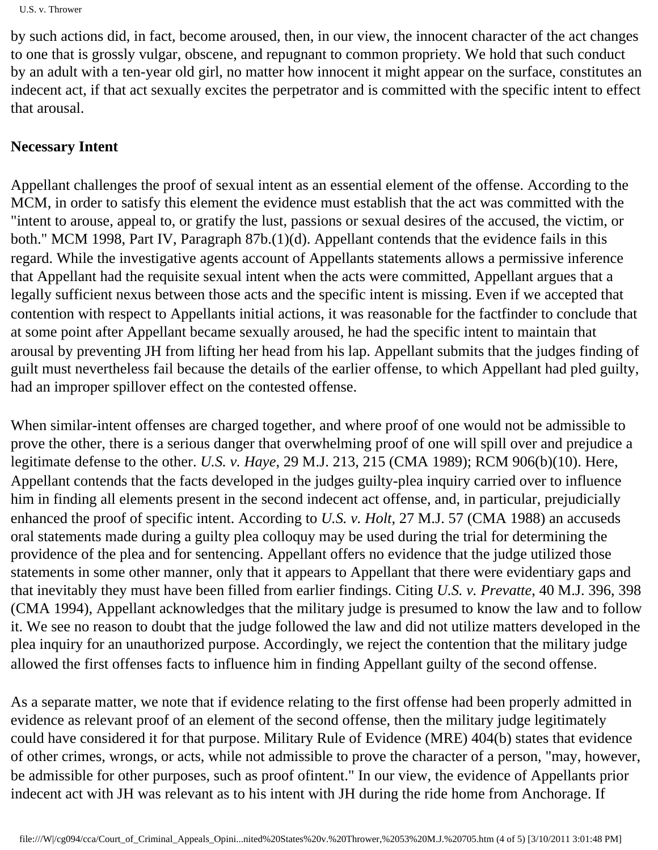```
U.S. v. Thrower
```
by such actions did, in fact, become aroused, then, in our view, the innocent character of the act changes to one that is grossly vulgar, obscene, and repugnant to common propriety. We hold that such conduct by an adult with a ten-year old girl, no matter how innocent it might appear on the surface, constitutes an indecent act, if that act sexually excites the perpetrator and is committed with the specific intent to effect that arousal.

## **Necessary Intent**

Appellant challenges the proof of sexual intent as an essential element of the offense. According to the MCM, in order to satisfy this element the evidence must establish that the act was committed with the "intent to arouse, appeal to, or gratify the lust, passions or sexual desires of the accused, the victim, or both." MCM 1998, Part IV, Paragraph 87b.(1)(d). Appellant contends that the evidence fails in this regard. While the investigative agent s account of Appellant s statements allows a permissive inference that Appellant had the requisite sexual intent when the acts were committed, Appellant argues that a legally sufficient nexus between those acts and the specific intent is missing. Even if we accepted that contention with respect to Appellant s initial actions, it was reasonable for the factfinder to conclude that at some point after Appellant became sexually aroused, he had the specific intent to maintain that arousal by preventing JH from lifting her head from his lap. Appellant submits that the judge s finding of guilt must nevertheless fail because the details of the earlier offense, to which Appellant had pled guilty, had an improper spillover effect on the contested offense.

When similar-intent offenses are charged together, and where proof of one would not be admissible to prove the other, there is a serious danger that overwhelming proof of one will spill over and prejudice a legitimate defense to the other. *U.S. v. Haye*, 29 M.J. 213, 215 (CMA 1989); RCM 906(b)(10). Here, Appellant contends that the facts developed in the judge s guilty-plea inquiry carried over to influence him in finding all elements present in the second indecent act offense, and, in particular, prejudicially enhanced the proof of specific intent. According to *U.S. v. Holt*, 27 M.J. 57 (CMA 1988) an accused s oral statements made during a guilty plea colloquy may be used during the trial for determining the providence of the plea and for sentencing. Appellant offers no evidence that the judge utilized those statements in some other manner, only that it appears to Appellant that there were evidentiary gaps and that inevitably they must have been filled from earlier findings. Citing *U.S. v. Prevatte*, 40 M.J. 396, 398 (CMA 1994), Appellant acknowledges that the military judge is presumed to know the law and to follow it. We see no reason to doubt that the judge followed the law and did not utilize matters developed in the plea inquiry for an unauthorized purpose. Accordingly, we reject the contention that the military judge allowed the first offense s facts to influence him in finding Appellant guilty of the second offense.

As a separate matter, we note that if evidence relating to the first offense had been properly admitted in evidence as relevant proof of an element of the second offense, then the military judge legitimately could have considered it for that purpose. Military Rule of Evidence (MRE) 404(b) states that evidence of other crimes, wrongs, or acts, while not admissible to prove the character of a person, "may, however, be admissible for other purposes, such as proof of lintent)." In our view, the evidence of Appellant s prior indecent act with JH was relevant as to his intent with JH during the ride home from Anchorage. If